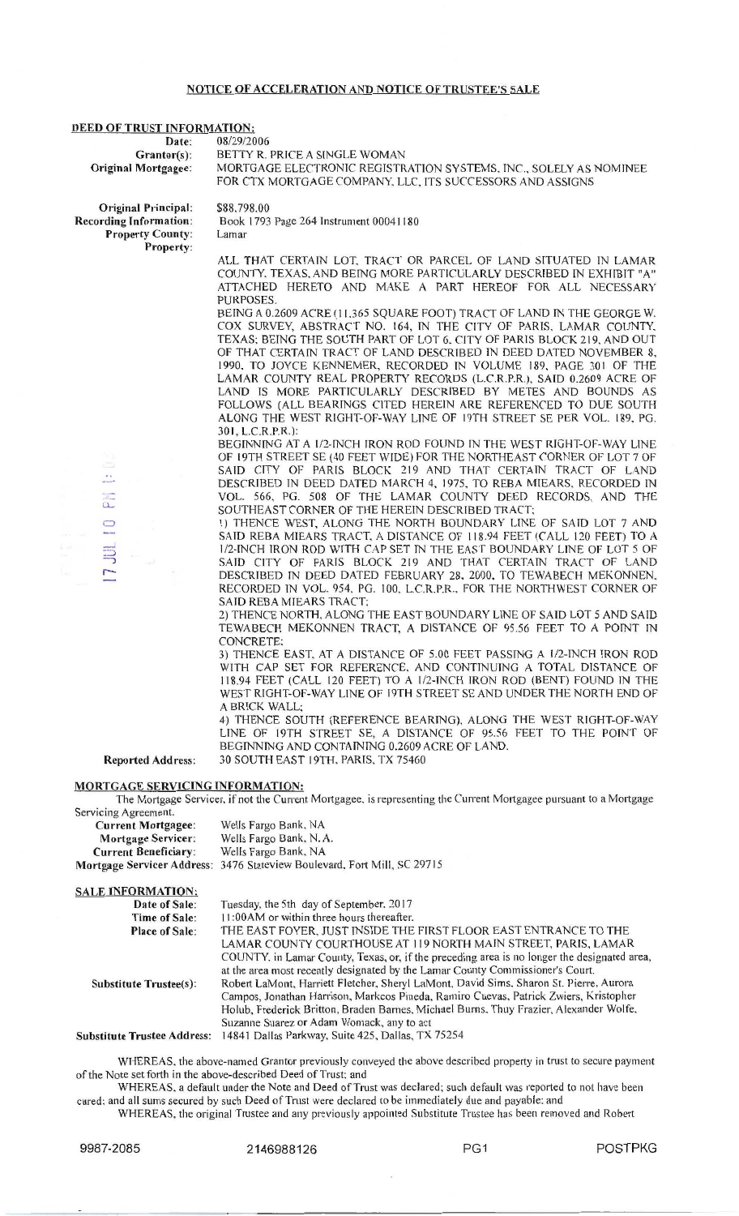## NOTICE OF ACCELERATION AND NOTICE OF TRUSTEE'S SALE

# **DEED OF TRUST INFORMATION:**<br>Date: 08/29/20

Date: 08/29/2006<br>Grantor(s): BETTY R.

Grantor(s): BETTY R. PRICE A SINGLE WOMAN<br>Original Mortgagee: MORTGAGE ELECTRONIC REGISTR MORTGAGE ELECTRONIC REGISTRATION SYSTEMS, INC., SOLELY AS NOMINEE FOR CTX MORTGAGE COMPANY, LLC. ITS SUCCESSORS AND ASSIGNS

O riginal Principal: Recording Information: Property County: Property:

-LL

 $\Box$ 

 $\equiv$ 

÷.

\$88.798.00 Book l 793 Page 264 lnstrument 0004 l 180 Lamar

ALL THAT CERTAIN LOT, TRACT OR PARCEL OF LAND SITUATED IN LAMAR COUNTY. TEXAS. AND BEING MORE PARTICULARLY DESCRIBED TN EXHIBIT "A" ATTACHED HERETO AND MAKE A PART HEREOF FOR ALL NECESSARY PURPOSES.

BEING A 0.2609 ACRE (11,365 SQUARE FOOT) TRACT OF LAND IN THE GEORGE W. COX SURVEY, ABSTRACT NO. 164, IN THE CITY OF PARIS, LAMAR COUNTY, TEXAS: BEING THE SOUTH PART OF LOT 6. CITY OF PARIS BLOCK 2 19, AND OUT OF THAT CERTAIN TRACT OF LAND DESCRIBED IN DEED DATED NOVEMBER 8, 1990. TO JOYCE KENNEMER, RECORDED IN VOLUME 189, PAGE 301 OF THE LAMAR COUNTY REAL PROPERTY RECORDS (L.C.R.P.R.). SAID 0.2609 ACRE OF LAND IS MORE PARTICULARLY DESCRIBED BY METES AND BOUNDS AS FOLLOWS (ALL BEARINGS CITED HEREIN ARE REFERENCED TO DUE SOUTH ALONG THE WEST RIGHT-OF-WAY LINE OF 19TH STREET SE PER VOL. 189. PG. 301, L.C.R.P.R.):

BEGINNING AT A 1/2-INCH IRON ROD FOUND IN THE WEST RIGHT-OF-WAY LINE OF I 9TH STREET SE (40 FEET WIDE) FOR THE NORTHEAST CORNER OF LOT 7 OF SAID CITY OF PARIS BLOCK 219 AND THAT CERTAIN TRACT OF LAND DESCRIBED IN DEED DATED MARCH 4, 1975, TO REBA MIEARS, RECORDED IN VOL. 566. PG. 508 OF THE LAMAR COUNTY DEED RECORDS, AND THE SOUTHEAST CORNER OF THE HEREIN DESCRIBED TRACT:

I) THENCE WEST, ALONG THE NORTH BOUNDARY LINE OF SAID LOT 7 AND SAID REBA MIEARS TRACT. A DISTANCE OF 118.94 FEET (CALL 120 FEET) TO A 1/2-INCH IRON ROD WITH CAP SET IN THE EAST BOUNDARY LINE OF LOT 5 OF SAID CITY OF PARIS BLOCK 219 AND THAT CERTAIN TRACT OF LAND DESCRIBED TN DEED DATED FEBRUARY 28. 2000. TO TEWABECH MEKONNEN. RECORDED IN VOL. 954, PG. 100, L.C.R.P.R., FOR THE NORTHWEST CORNER OF SAID REBA MIEARS TRACT:

2) THENCE NORTH, ALONG THE EAST BOUNDARY LINE OF SAID LOT 5 AND SAID TEWABECH MEKONNEN TRACT, A DISTANCE OF 95.56 FEET TO A POINT JN CONCRETE:

3) THENCE EAST. AT A DISTANCE OF 5.00 FEET PASSING A 1/2-TNCH TRON ROD WITH CAP SET FOR REFERENCE. AND CONTINUING A TOTAL DlSTANCE OF 118.94 FEET (CALL 120 FEET) TO A 1/2-TNCH IRON ROD (BENT) FOUND IN THE WEST RIGHT-OF-WAY LINE OF l 9TH STREET SE AND UNDER THE NORTH END OF A BRICK WALL:

4 ) THENCE SOUTH (REFERENCE BEARING). ALONG THE WEST RIGHT-OF-WAY LINE OF 19TH STREET SE, A DISTANCE OF 95.56 FEET TO THE POINT OF BEGINNING AND CONTAINING 0.2609 ACRE OF LAND.

Reported Address: 30 SOUTH EAST 19TH, PARIS, TX 75460

#### MORTGAGE SERVICING INFORMATION:

The Mortgage Servicer, if not the Current Mortgagee, is representing the Current Mortgagee pursuant to a Mortgage Servicing Agreement.

| <b>Current Mortgagee:</b>   | Wells Fargo Bank, NA                                                     |
|-----------------------------|--------------------------------------------------------------------------|
| <b>Mortgage Servicer:</b>   | Wells Fargo Bank, N. A.                                                  |
| <b>Current Beneficiary:</b> | Wells Fargo Bank, NA                                                     |
|                             | Mortgage Servicer Address: 3476 Stateview Boulevard, Fort Mill, SC 29715 |

| <b>SALE INFORMATION:</b>           |                                                                                                                                                                                                                                                                                                                                                                                                                                                                                                                                                                          |
|------------------------------------|--------------------------------------------------------------------------------------------------------------------------------------------------------------------------------------------------------------------------------------------------------------------------------------------------------------------------------------------------------------------------------------------------------------------------------------------------------------------------------------------------------------------------------------------------------------------------|
| Date of Sale:                      | Tuesday, the 5th day of September, 2017                                                                                                                                                                                                                                                                                                                                                                                                                                                                                                                                  |
| Time of Sale:                      | 11:00 AM or within three hours thereafter.                                                                                                                                                                                                                                                                                                                                                                                                                                                                                                                               |
| <b>Place of Sale:</b>              | THE EAST FOYER, JUST INSIDE THE FIRST FLOOR EAST ENTRANCE TO THE                                                                                                                                                                                                                                                                                                                                                                                                                                                                                                         |
| <b>Substitute Trustee(s):</b>      | LAMAR COUNTY COURTHOUSE AT 119 NORTH MAIN STREET, PARIS, LAMAR<br>COUNTY. in Lamar County, Texas, or, if the preceding area is no longer the designated area,<br>at the area most recently designated by the Lamar County Commissioner's Court.<br>Robert LaMont, Harriett Fletcher, Sheryl LaMont, David Sims, Sharon St. Pierre, Aurora<br>Campos, Jonathan Harrison, Markcos Pineda, Ramiro Cuevas, Patrick Zwiers, Kristopher<br>Holub, Frederick Britton, Braden Barnes, Michael Burns, Thuy Frazier, Alexander Wolfe,<br>Suzanne Suarez or Adam Womack, any to act |
| <b>Substitute Trustee Address:</b> | 14841 Dallas Parkway, Suite 425, Dallas, TX 75254                                                                                                                                                                                                                                                                                                                                                                                                                                                                                                                        |

WHEREAS, the above-named Grantor previously conveyed the above described property in trust to secure payment of the Note set forth in the above-described Deed of Trust: and

WHEREAS. a default under the Note and Deed of Trust was declared; such default was reported to not have been cured: and all sums secured by such Deed of Trust were declared to be immediately due and payable: and

WHEREAS, the original Trustee and any previously appointed Substitute Trustee has been removed and Robert

9987-2085 2146988126 PG1 POSTPKG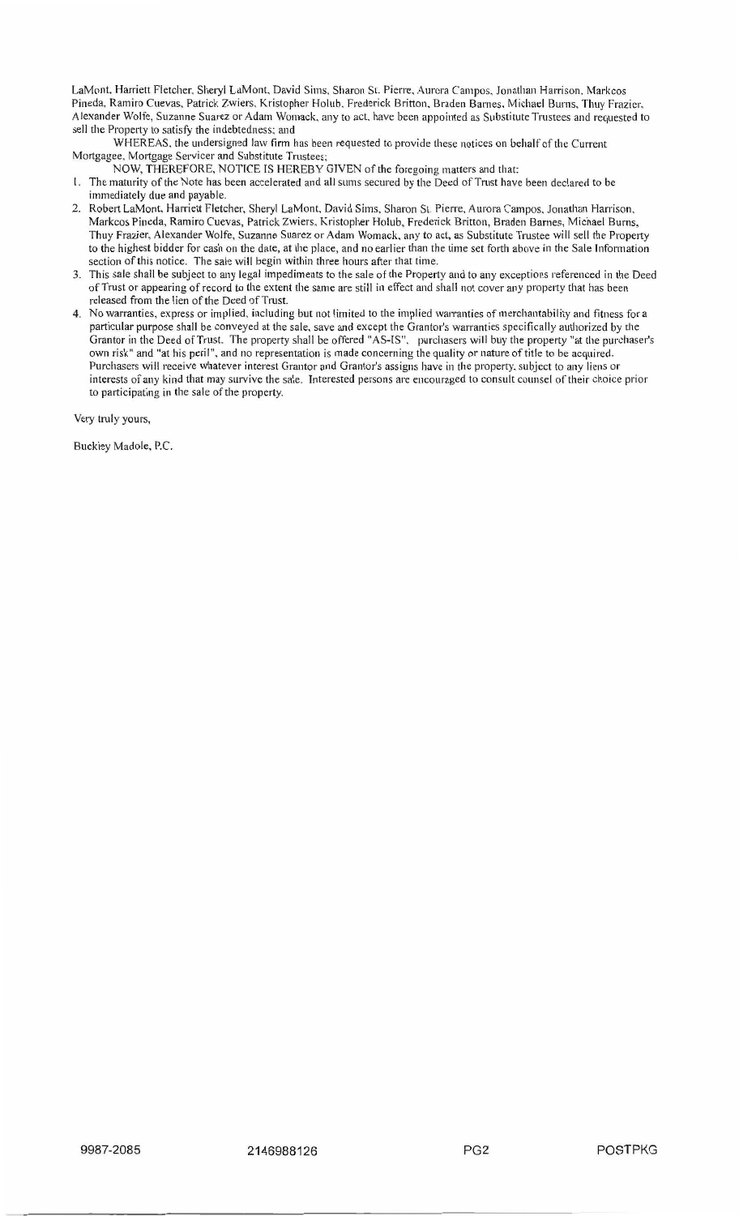LaMont, Harriett Fletcher, Sheryl LaMont, David Sims, Sharon St. Pierre, Aurora Campos, Jonathan Harrison, Markcos Pineda, Ramiro Cuevas, Patrick Zwiers. Kristopher Holub. Frederick Britton. Braden Barnes. Michael Burns. Thuy Frazier. Alexander Wolfe, Suzanne Suarez or Adam Womack, any to act. have been appointed as Substitute Trustees and requested to sell the Property to satisfy the indebtedness; and

WHEREAS. the undersigned law firm has been requested to provide these notices on behalf of the Current Mortgagee, Mortgage Servicer and Substitute Trustees:

- NOW, THEREFORE, NOTICE TS HEREBY GIVEN of the foregoing matters and that:
- I. The maturity of the Note has been accelerated and all stuns secured by the Deed of Trust have been declared to be immediately due and payable.
- 2. Robert LaMont, Harriett Fletcher, Sheryl LaMont, David Sims, Sharon St. Pierre, Aurora Campos, Jonathan Harrison, Markcos Pineda, Ramiro Cuevas, Patrick Zwiers, Kristopher Holub, Frederick Britton, Braden Barnes, Michael Burns, Thuy Frazier, Alexander Wolfe, Suzanne Suarez or Adam Womack, any to act, as Substitute Trustee will sell the Property to the highest bidder for cash on the date, at the place, and no earlier than the time set forth above in the Sale Jnforniation section of this notice. The sale will begin within three hours after that time.
- 3. This sale shall be subject to any legal impediments to the sale of the Property and to any exceptions referenced in the Deed of Trust or appearing ofrecord to the extent the same are still in effect and shall not cover any property that has been released from the lien of the Deed of Trust.
- 4. No warranties, express or implied. including but not limited to the implied warranties of merchantability and fitness for a particular purpose shall be conveyed at the sale, save and except the Grantor's warranties specifically authorized by the Granter in the Deed of Trust. The property shall be offered "AS-TS". purchasers will buy the property "at the purchaser's own risk" and "at his peril", and no representation is made concerning the quality or nature of title to be acquired. Purchasers will receive whatever interest Grantor and Grantor's assigns have in the property, subject to any liens or interests of any kind that may survive the sale. Interested persons are encouraged to consult counsel of their choice prior to participating in the sale of the property.

Very truly yours,

Buckley Madole. P.C.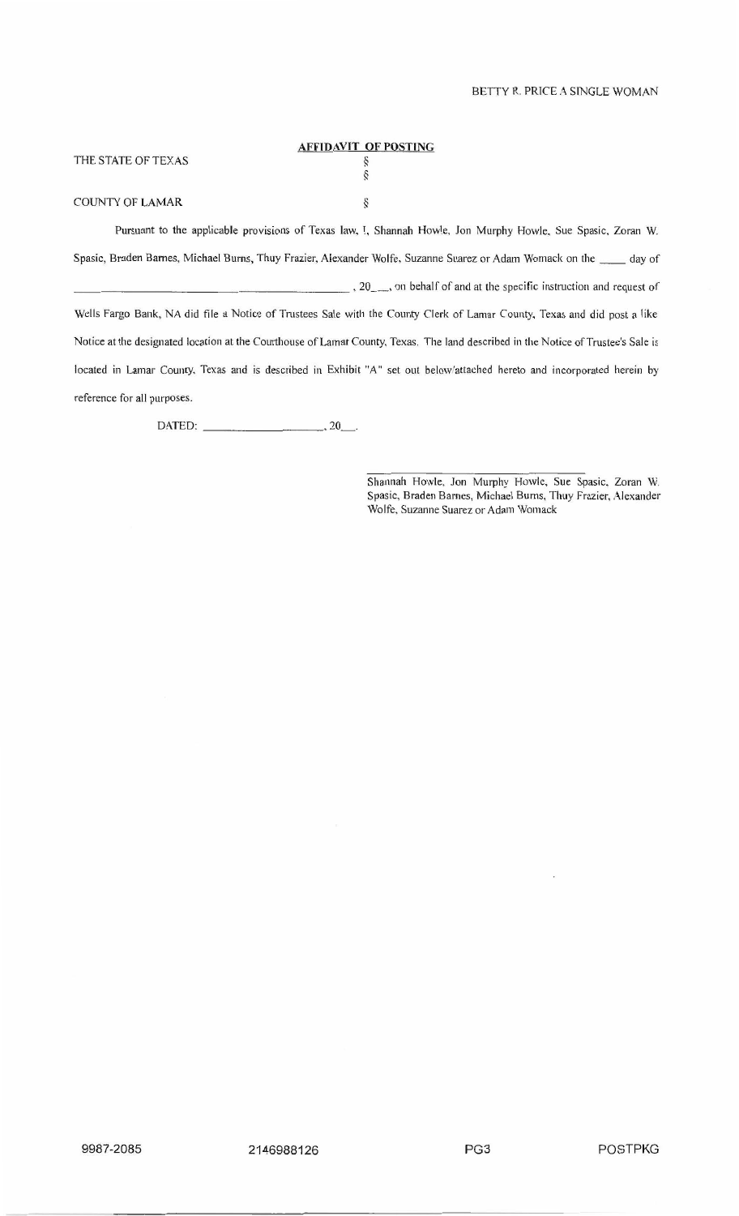#### **AFFIDAVIT OF POSTING**  THE STATE OF TEXAS  $\zeta$ *§*  COUNTY OF LAMAR ş

Pursuant to the applicable provisions of Texas law. I. Shannah Howle. Jon Murphy Howle. Sue Spasic. Zoran W. Spasic, Braden Barnes, Michael Burns, Thuy Frazier, Alexander Wolfe, Suzanne Suarez or Adam Womack on the \_\_\_\_ day of ----------- ----------, 20\_, on behalf of and at the specific instruction and request of Wells Fargo Bank, NA did file a Notice of Trustees Sale with the County Clerk of Lamar County. Texas and did post a like Notice at the designated location at the Courthouse of Lamar County, Texas. The land described in the Notice of Trustee's Sale is located in Lamar County. Texas and is described in Exhibit "A" set out below'attached hereto and incorporated herein by reference for all purposes.

DATED: --------· 20\_.

Shannah Howle. Jon Murphy Howle, Sue Spasic. Zoran W. Spasic, Braden Barnes, Michael Burns, Thuy Frazier, Alexander Wolfe. Suzanne Suarez or Adam Womack